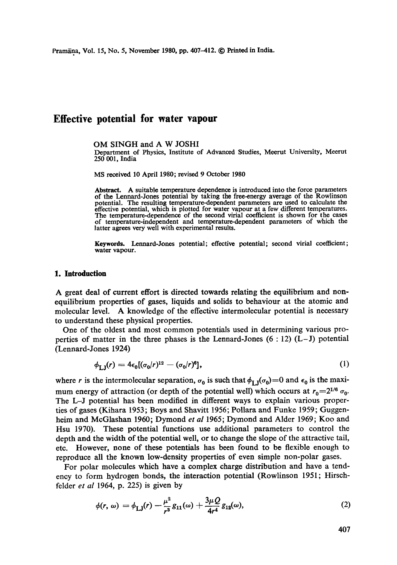# **Effective potential for water vapour**

OM SINGH and A W JOSHI

Department of Physics, Institute of Advanced Studies, Meerut University, Meerut 250 001, India

MS received 10 April 1980; revised 9 October 1980

Abstract. A suitable temperature dependence is introduced into the force parameters of the Lennard-Jones potential by taking the free-energy average of the Rowlinson potential. The resulting temperature-dependent parameters are used to calculate the effective potential, which is plotted for water vapour at a few different temperatures. The temperature-dependence of the second virial coefficient is shown for the cases of temperature-independent and temperature-dependent parameters of which the latter agrees very well with experimental results.

**Keywords.** Lermard-Jones potential; effective potential; second virial coefficient; **water** vapour.

#### **1. Introduction**

A great deal of current effort is directed towards relating the equilibrium and nonequilibrium properties of gases, liquids and solids to behaviour at the atomic and molecular level. A knowledge of the effective intermolecular potential is necessary to understand these physical properties.

One of the oldest and most common potentials used in determining various properties of matter in the three phases is the Lennard-Jones  $(6:12)$   $(L-J)$  potential (Lennard-Jones 1924)

$$
\phi_{\text{I},\text{I}}(r) = 4\epsilon_0 [(\sigma_0/r)^{12} - (\sigma_0/r)^6],\tag{1}
$$

where r is the intermolecular separation,  $\sigma_0$  is such that  $\phi_{1,1}(\sigma_0)=0$  and  $\epsilon_0$  is the maximum energy of attraction (or depth of the potential well) which occurs at  $r_0=2^{1/6} \sigma_0$ . The L-J potential has been modified in different ways to explain various properties of gases (Kihara 1953; Boys and Shavitt 1956; Pollara and Funke 1959; Guggenheim and McGlashan 1960; Dymond *et al* 1965; Dymond and Alder 1969; Koo and Hsu 1970). These potential functions use additional parameters to control the depth and the width of the potential well, or to change the slope of the attractive tail, etc. However, none of these potentials has been found to be flexible enough to reproduce all the known low-density properties of even simple non-polar gases.

For polar molecules which have a complex charge distribution and have a tendency to form hydrogen bonds, the interaction potential (Rowlinson 1951; Hirschfelder *et al* 1964, p. 225) is given by

$$
\phi(r, \omega) = \phi_{LJ}(r) - \frac{\mu^2}{r^3} g_{11}(\omega) + \frac{3\mu Q}{4r^4} g_{12}(\omega), \qquad (2)
$$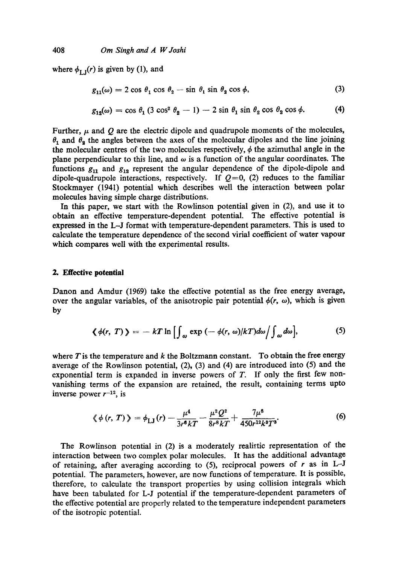where  $\phi_{\text{L}_1}(r)$  is given by (1), and

$$
g_{11}(\omega) = 2 \cos \theta_1 \cos \theta_2 - \sin \theta_1 \sin \theta_2 \cos \phi, \tag{3}
$$

$$
g_{12}(\omega) = \cos \theta_1 \left( 3 \cos^2 \theta_2 - 1 \right) - 2 \sin \theta_1 \sin \theta_2 \cos \theta_2 \cos \phi. \tag{4}
$$

Further,  $\mu$  and  $Q$  are the electric dipole and quadrupole moments of the molecules,  $\theta_1$  and  $\theta_2$  the angles between the axes of the molecular dipoles and the line joining the molecular centres of the two molecules respectively,  $\phi$  the azimuthal angle in the plane perpendicular to this line, and  $\omega$  is a function of the angular coordinates. The functions  $g_{11}$  and  $g_{12}$  represent the angular dependence of the dipole-dipole and dipole-quadrupole interactions, respectively. If  $Q=0$ , (2) reduces to the familiar Stockmayer (1941) potential which describes well the interaction between polar molecules having simple charge distributions.

In this paper, we start with the Rowlinson potential given in (2), and use it to obtain an effective temperature-dependent potential. The effective potential is expressed in the L-J format with temperature-dependent parameters. This is used to calculate the temperature dependence of the second virial coefficient of water vapour which compares well with the experimental results.

## **2. Effective potential**

Danon and Amdur (1969) take the effective potential as the free energy average, over the angular variables, of the anisotropic pair potential  $\phi(r, \omega)$ , which is given by

$$
\langle \phi(r, T) \rangle = -kT \ln \left[ \int_{\omega} \exp \left( -\phi(r, \omega) / kT \right) d\omega \right] \int_{\omega} d\omega \Big], \tag{5}
$$

where  $T$  is the temperature and  $k$  the Boltzmann constant. To obtain the free energy average of the Rowlinson potential, (2), (3) and (4) are introduced into (5) and the exponential term is expanded in inverse powers of  $T$ . If only the first few nonvanishing terms of the expansion are retained, the result, containing terms upto inverse power  $r^{-12}$ , is

$$
\langle \phi(r, T) \rangle = \phi_{\text{LJ}}(r) - \frac{\mu^4}{3r^6 kT} - \frac{\mu^2 Q^2}{8r^8 kT} + \frac{7\mu^8}{450r^{12} k^3 T^3}.
$$
 (6)

The Rowlinson potential in (2) is a moderately realistic representation of the interaction between two complex polar molecules. It has the additional advantage of retaining, after averaging according to  $(5)$ , reciprocal powers of r as in L-J potential. The parameters, however, are now functions of temperature. It is possible, therefore, to calculate the transport properties by using collision integrals which have been tabulated for L-J potential if the temperature-dependent parameters of the effective potential are properly related to the temperature independent parameters of the isotropic potential.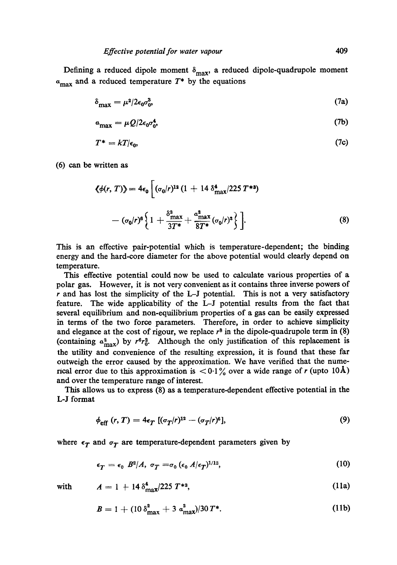Defining a reduced dipole moment  $\delta_{\text{max}}$ , a reduced dipole-quadrupole moment  $a_{\text{max}}$  and a reduced temperature  $T^*$  by the equations

$$
\delta_{\text{max}} = \mu^2 / 2\epsilon_0 \sigma_0^3,\tag{7a}
$$

$$
a_{\text{max}} = \mu Q / 2 \epsilon_0 \sigma_0^4,\tag{7b}
$$

$$
T^* = kT/\epsilon_0, \tag{7c}
$$

(6) can be written as

$$
\langle \phi(r, T) \rangle = 4\epsilon_0 \left[ (\sigma_0/r)^{12} (1 + 14 \delta_{\text{max}}^4 / 225 T^{*3}) - (\sigma_0/r)^6 \left\{ 1 + \frac{\delta_{\text{max}}^2}{3T^*} + \frac{a_{\text{max}}^2}{8T^*} (\sigma_0/r)^2 \right\} \right].
$$
 (8)

This is an effective pair-potential which is temperature-dependent; the binding energy and the hard-core diameter for the above potential would clearly depend on temperature.

This effective potential could now be used to calculate various properties of a polar gas. However, it is not very convenient as it contains three inverse powers of  $r$  and has lost the simplicity of the L-J potential. This is not a very satisfactory feature. The wide applicability of the L-J potential results from the fact that several equilibrium and non-equilibrium properties of a gas can be easily expressed in terms of the two force parameters. Therefore, in order to achieve simplicity and elegance at the cost of rigour, we replace  $r^8$  in the dipole-quadrupole term in (8) (containing  $a_{\text{max}}^2$ ) by  $r^6r_0^2$ . Although the only justification of this replacement is the utility and convenience of the resulting expression, it is found that these far outweigh the error caused by the approximation. We have verified that the numerical error due to this approximation is  $\langle 0.1 \rangle$  over a wide range of r (upto 10Å) and over the temperature range of interest.

This allows us to express (8) as a temperature-dependent effective potential in the L-J format

$$
\phi_{\text{eff}}(r,T) = 4\epsilon_T \left[ (\sigma_T/r)^{12} - (\sigma_T/r)^6 \right],\tag{9}
$$

where  $\epsilon_T$  and  $\sigma_T$  are temperature-dependent parameters given by

$$
\epsilon_T = \epsilon_0 \ B^2/A, \ \sigma_T = \sigma_0 \ (\epsilon_0 \ A/\epsilon_T)^{1/12}, \tag{10}
$$

with 
$$
A = 1 + 14 \delta_{\text{max}}^4 / 225 T^{*3}
$$
, (11a)

$$
B = 1 + (10 \delta_{\max}^2 + 3 a_{\max}^2)/30 T^*.
$$
 (11b)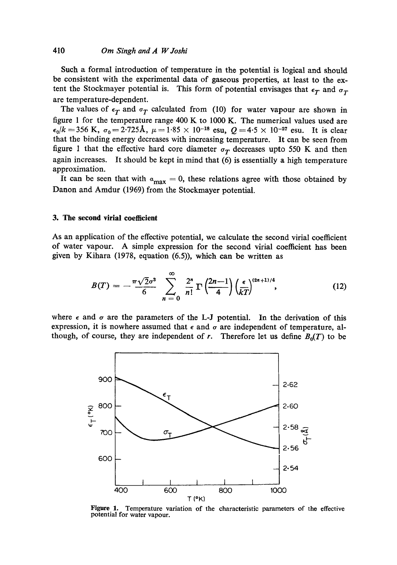Such a formal introduction of temperature in the potential is logical and should be consistent with the experimental data of gaseous properties, at least to the extent the Stockmayer potential is. This form of potential envisages that  $\epsilon_T$  and  $\sigma_T$ are temperature-dependent.

The values of  $\epsilon_T$  and  $\sigma_T$  calculated from (10) for water vapour are shown in figure 1 for the temperature range 400 K to 1000 K. The numerical values used are  $\epsilon_0/k=356$  K,  $\sigma_0=2.725$ Å,  $\mu=1.85 \times 10^{-18}$  esu,  $Q=4.5 \times 10^{-27}$  esu. It is clear that the binding energy decreases with increasing temperature. It can be seen from figure 1 that the effective hard core diameter  $\sigma_T$  decreases upto 550 K and then again increases. It should be kept in mind that (6) is essentially a high temperature approximation.

It can be seen that with  $a_{\text{max}} = 0$ , these relations agree with those obtained by Danon and Amdur (1969) from the Stockmayer potential.

### **3. The second virial coefficient**

As an application of the effective potential, we calculate the second virial coefficient of water vapour. A simple expression for the second virial coefficient has been given by Kihara (1978, equation (6.5)), which can be written as

$$
B(T) = -\frac{\pi\sqrt{2}\sigma^3}{6} \sum_{n=0}^{\infty} \frac{2^n}{n!} \Gamma\left(\frac{2n-1}{4}\right) \left(\frac{\epsilon}{kT}\right)^{(2n+1)/4}, \tag{12}
$$

where  $\epsilon$  and  $\sigma$  are the parameters of the L-J potential. In the derivation of this expression, it is nowhere assumed that  $\epsilon$  and  $\sigma$  are independent of temperature, although, of course, they are independent of r. Therefore let us define  $B_0(T)$  to be



Figure 1. Temperature variation of the characteristic parameters of the effective potential for water vapour.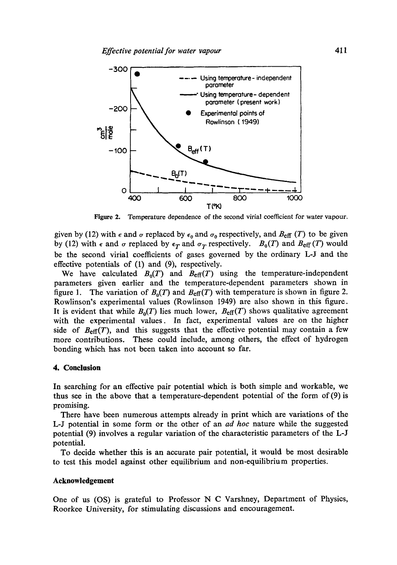

**Figure 2.**  Temperature dependence of the second virial coefficient for water vapour.

given by (12) with  $\epsilon$  and  $\sigma$  replaced by  $\epsilon_0$  and  $\sigma_0$  respectively, and  $B_{\text{eff}}$  (T) to be given by (12) with  $\epsilon$  and  $\sigma$  replaced by  $\epsilon_T$  and  $\sigma_T$  respectively.  $B_0(T)$  and  $B_{\text{eff}}(T)$  would be the second virial coefficients of gases governed by the ordinary L-J and the effective potentials of (1) and (9), respectively.

We have calculated  $B_0(T)$  and  $B_{\text{eff}}(T)$  using the temperature-independent parameters given earlier and the temperature-dependent parameters shown in figure 1. The variation of  $B_0(T)$  and  $B_{\text{eff}}(T)$  with temperature is shown in figure 2. Rowlinson's experimental values (Rowlinson 1949) are also shown in this figure. It is evident that while  $B_0(T)$  lies much lower,  $B_{\text{eff}}(T)$  shows qualitative agreement with the experimental values. In fact, experimental values are on the higher side of  $B_{\text{eff}}(T)$ , and this suggests that the effective potential may contain a few more contributions. These could include, among others, the effect of hydrogen bonding which has not been taken into account so far.

## **4. Conclusion**

In searching for an effective pair potential which is both simple and workable, we thus see in the above that a temperature-dependent potential of the form of (9) is promising.

There have been numerous attempts already in print which are variations of the L-J potential in some form or the other of an *ad hoc* nature while the suggested potential (9) involves a regular variation of the characteristic parameters of the L-J potential.

To decide whether this is an accurate pair potential, it would be most desirable to test this model against other equilibrium and non-equilibrium properties.

## **Acknowledgement**

One of us (OS) is grateful to Professor N C Varshney, Department of Physics, Roorkee University, for stimulating discussions and encouragement.